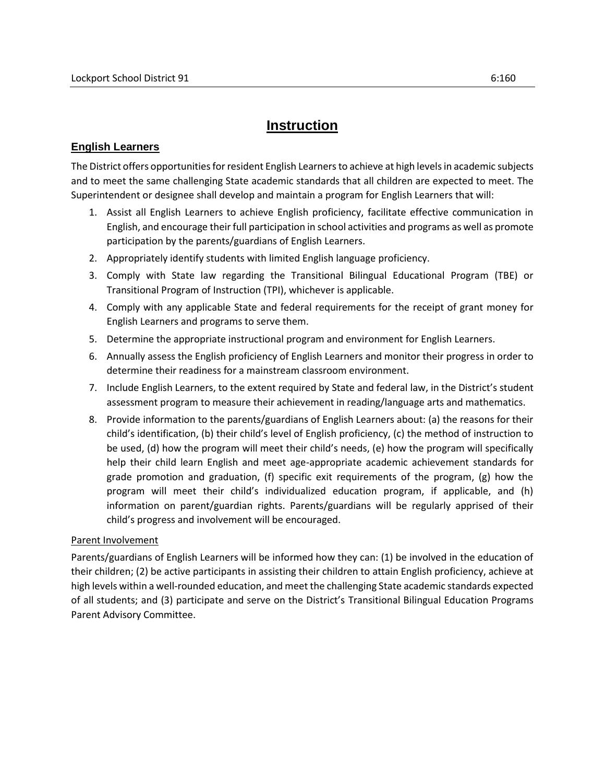## **Instruction**

## **English Learners**

The District offers opportunities for resident English Learners to achieve at high levels in academic subjects and to meet the same challenging State academic standards that all children are expected to meet. The Superintendent or designee shall develop and maintain a program for English Learners that will:

- 1. Assist all English Learners to achieve English proficiency, facilitate effective communication in English, and encourage their full participation in school activities and programs as well as promote participation by the parents/guardians of English Learners.
- 2. Appropriately identify students with limited English language proficiency.
- 3. Comply with State law regarding the Transitional Bilingual Educational Program (TBE) or Transitional Program of Instruction (TPI), whichever is applicable.
- 4. Comply with any applicable State and federal requirements for the receipt of grant money for English Learners and programs to serve them.
- 5. Determine the appropriate instructional program and environment for English Learners.
- 6. Annually assess the English proficiency of English Learners and monitor their progress in order to determine their readiness for a mainstream classroom environment.
- 7. Include English Learners, to the extent required by State and federal law, in the District's student assessment program to measure their achievement in reading/language arts and mathematics.
- 8. Provide information to the parents/guardians of English Learners about: (a) the reasons for their child's identification, (b) their child's level of English proficiency, (c) the method of instruction to be used, (d) how the program will meet their child's needs, (e) how the program will specifically help their child learn English and meet age-appropriate academic achievement standards for grade promotion and graduation, (f) specific exit requirements of the program, (g) how the program will meet their child's individualized education program, if applicable, and (h) information on parent/guardian rights. Parents/guardians will be regularly apprised of their child's progress and involvement will be encouraged.

## Parent Involvement

Parents/guardians of English Learners will be informed how they can: (1) be involved in the education of their children; (2) be active participants in assisting their children to attain English proficiency, achieve at high levels within a well-rounded education, and meet the challenging State academic standards expected of all students; and (3) participate and serve on the District's Transitional Bilingual Education Programs Parent Advisory Committee.